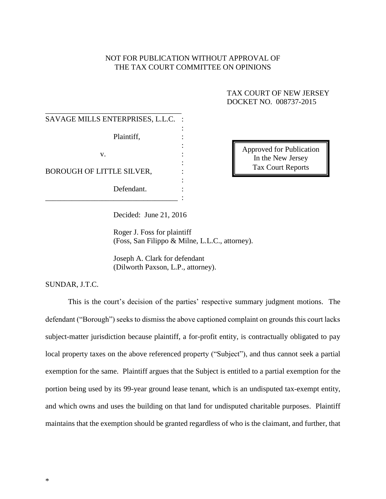## NOT FOR PUBLICATION WITHOUT APPROVAL OF THE TAX COURT COMMITTEE ON OPINIONS

# TAX COURT OF NEW JERSEY DOCKET NO. 008737-2015

| SAVAGE MILLS ENTERPRISES, L.L.C. |  |
|----------------------------------|--|
| Plaintiff,                       |  |
| V.                               |  |
| BOROUGH OF LITTLE SILVER,        |  |
| Defendant.                       |  |

Approved for Publication In the New Jersey Tax Court Reports

Decided: June 21, 2016

Roger J. Foss for plaintiff (Foss, San Filippo & Milne, L.L.C., attorney).

Joseph A. Clark for defendant (Dilworth Paxson, L.P., attorney).

SUNDAR, J.T.C.

This is the court's decision of the parties' respective summary judgment motions. The defendant ("Borough") seeks to dismiss the above captioned complaint on grounds this court lacks subject-matter jurisdiction because plaintiff, a for-profit entity, is contractually obligated to pay local property taxes on the above referenced property ("Subject"), and thus cannot seek a partial exemption for the same. Plaintiff argues that the Subject is entitled to a partial exemption for the portion being used by its 99-year ground lease tenant, which is an undisputed tax-exempt entity, and which owns and uses the building on that land for undisputed charitable purposes. Plaintiff maintains that the exemption should be granted regardless of who is the claimant, and further, that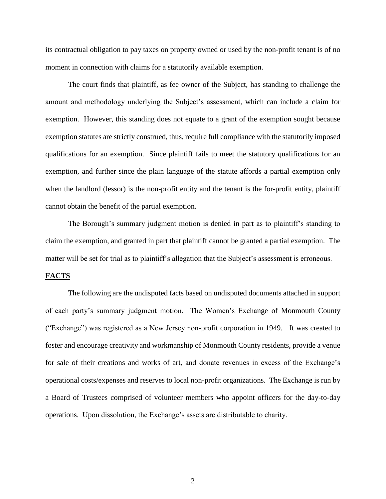its contractual obligation to pay taxes on property owned or used by the non-profit tenant is of no moment in connection with claims for a statutorily available exemption.

The court finds that plaintiff, as fee owner of the Subject, has standing to challenge the amount and methodology underlying the Subject's assessment, which can include a claim for exemption. However, this standing does not equate to a grant of the exemption sought because exemption statutes are strictly construed, thus, require full compliance with the statutorily imposed qualifications for an exemption. Since plaintiff fails to meet the statutory qualifications for an exemption, and further since the plain language of the statute affords a partial exemption only when the landlord (lessor) is the non-profit entity and the tenant is the for-profit entity, plaintiff cannot obtain the benefit of the partial exemption.

The Borough's summary judgment motion is denied in part as to plaintiff's standing to claim the exemption, and granted in part that plaintiff cannot be granted a partial exemption. The matter will be set for trial as to plaintiff's allegation that the Subject's assessment is erroneous.

### **FACTS**

The following are the undisputed facts based on undisputed documents attached in support of each party's summary judgment motion. The Women's Exchange of Monmouth County ("Exchange") was registered as a New Jersey non-profit corporation in 1949. It was created to foster and encourage creativity and workmanship of Monmouth County residents, provide a venue for sale of their creations and works of art, and donate revenues in excess of the Exchange's operational costs/expenses and reserves to local non-profit organizations. The Exchange is run by a Board of Trustees comprised of volunteer members who appoint officers for the day-to-day operations. Upon dissolution, the Exchange's assets are distributable to charity.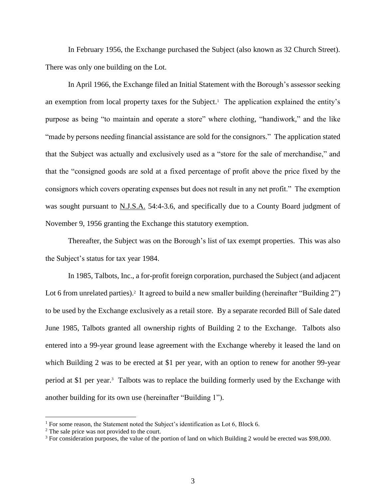In February 1956, the Exchange purchased the Subject (also known as 32 Church Street). There was only one building on the Lot.

In April 1966, the Exchange filed an Initial Statement with the Borough's assessor seeking an exemption from local property taxes for the Subject.<sup>1</sup> The application explained the entity's purpose as being "to maintain and operate a store" where clothing, "handiwork," and the like "made by persons needing financial assistance are sold for the consignors." The application stated that the Subject was actually and exclusively used as a "store for the sale of merchandise," and that the "consigned goods are sold at a fixed percentage of profit above the price fixed by the consignors which covers operating expenses but does not result in any net profit." The exemption was sought pursuant to N.J.S.A. 54:4-3.6, and specifically due to a County Board judgment of November 9, 1956 granting the Exchange this statutory exemption.

Thereafter, the Subject was on the Borough's list of tax exempt properties. This was also the Subject's status for tax year 1984.

In 1985, Talbots, Inc., a for-profit foreign corporation, purchased the Subject (and adjacent Lot 6 from unrelated parties).<sup>2</sup> It agreed to build a new smaller building (hereinafter "Building 2") to be used by the Exchange exclusively as a retail store. By a separate recorded Bill of Sale dated June 1985, Talbots granted all ownership rights of Building 2 to the Exchange. Talbots also entered into a 99-year ground lease agreement with the Exchange whereby it leased the land on which Building 2 was to be erected at \$1 per year, with an option to renew for another 99-year period at \$1 per year.<sup>3</sup> Talbots was to replace the building formerly used by the Exchange with another building for its own use (hereinafter "Building 1").

<sup>&</sup>lt;sup>1</sup> For some reason, the Statement noted the Subject's identification as Lot 6, Block 6.

<sup>&</sup>lt;sup>2</sup> The sale price was not provided to the court.

<sup>&</sup>lt;sup>3</sup> For consideration purposes, the value of the portion of land on which Building 2 would be erected was \$98,000.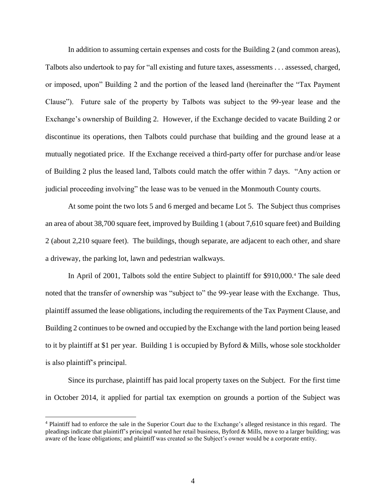In addition to assuming certain expenses and costs for the Building 2 (and common areas), Talbots also undertook to pay for "all existing and future taxes, assessments . . . assessed, charged, or imposed, upon" Building 2 and the portion of the leased land (hereinafter the "Tax Payment Clause"). Future sale of the property by Talbots was subject to the 99-year lease and the Exchange's ownership of Building 2. However, if the Exchange decided to vacate Building 2 or discontinue its operations, then Talbots could purchase that building and the ground lease at a mutually negotiated price. If the Exchange received a third-party offer for purchase and/or lease of Building 2 plus the leased land, Talbots could match the offer within 7 days. "Any action or judicial proceeding involving" the lease was to be venued in the Monmouth County courts.

At some point the two lots 5 and 6 merged and became Lot 5. The Subject thus comprises an area of about 38,700 square feet, improved by Building 1 (about 7,610 square feet) and Building 2 (about 2,210 square feet). The buildings, though separate, are adjacent to each other, and share a driveway, the parking lot, lawn and pedestrian walkways.

In April of 2001, Talbots sold the entire Subject to plaintiff for \$910,000.<sup>4</sup> The sale deed noted that the transfer of ownership was "subject to" the 99-year lease with the Exchange. Thus, plaintiff assumed the lease obligations, including the requirements of the Tax Payment Clause, and Building 2 continues to be owned and occupied by the Exchange with the land portion being leased to it by plaintiff at \$1 per year. Building 1 is occupied by Byford & Mills, whose sole stockholder is also plaintiff's principal.

Since its purchase, plaintiff has paid local property taxes on the Subject. For the first time in October 2014, it applied for partial tax exemption on grounds a portion of the Subject was

<sup>4</sup> Plaintiff had to enforce the sale in the Superior Court due to the Exchange's alleged resistance in this regard. The pleadings indicate that plaintiff's principal wanted her retail business, Byford & Mills, move to a larger building; was aware of the lease obligations; and plaintiff was created so the Subject's owner would be a corporate entity.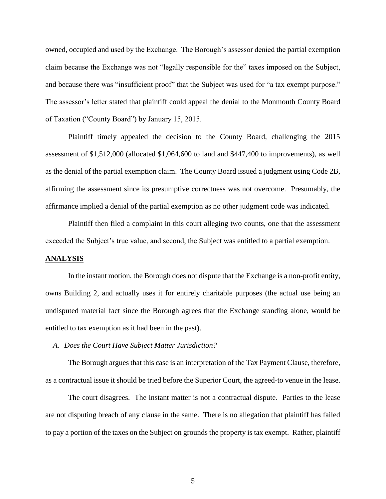owned, occupied and used by the Exchange. The Borough's assessor denied the partial exemption claim because the Exchange was not "legally responsible for the" taxes imposed on the Subject, and because there was "insufficient proof" that the Subject was used for "a tax exempt purpose." The assessor's letter stated that plaintiff could appeal the denial to the Monmouth County Board of Taxation ("County Board") by January 15, 2015.

 Plaintiff timely appealed the decision to the County Board, challenging the 2015 assessment of \$1,512,000 (allocated \$1,064,600 to land and \$447,400 to improvements), as well as the denial of the partial exemption claim. The County Board issued a judgment using Code 2B, affirming the assessment since its presumptive correctness was not overcome. Presumably, the affirmance implied a denial of the partial exemption as no other judgment code was indicated.

Plaintiff then filed a complaint in this court alleging two counts, one that the assessment exceeded the Subject's true value, and second, the Subject was entitled to a partial exemption.

#### **ANALYSIS**

In the instant motion, the Borough does not dispute that the Exchange is a non-profit entity, owns Building 2, and actually uses it for entirely charitable purposes (the actual use being an undisputed material fact since the Borough agrees that the Exchange standing alone, would be entitled to tax exemption as it had been in the past).

*A. Does the Court Have Subject Matter Jurisdiction?*

The Borough argues that this case is an interpretation of the Tax Payment Clause, therefore, as a contractual issue it should be tried before the Superior Court, the agreed-to venue in the lease.

The court disagrees. The instant matter is not a contractual dispute. Parties to the lease are not disputing breach of any clause in the same. There is no allegation that plaintiff has failed to pay a portion of the taxes on the Subject on grounds the property is tax exempt. Rather, plaintiff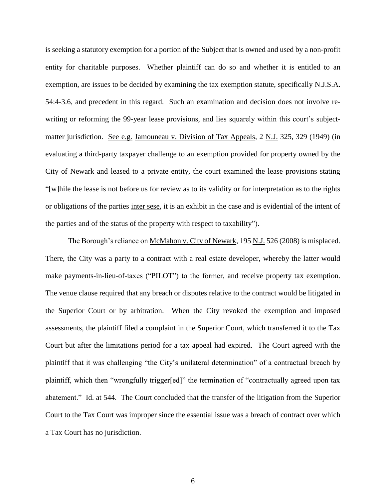is seeking a statutory exemption for a portion of the Subject that is owned and used by a non-profit entity for charitable purposes. Whether plaintiff can do so and whether it is entitled to an exemption, are issues to be decided by examining the tax exemption statute, specifically N.J.S.A. 54:4-3.6, and precedent in this regard. Such an examination and decision does not involve rewriting or reforming the 99-year lease provisions, and lies squarely within this court's subjectmatter jurisdiction. See e.g. Jamouneau v. Division of Tax Appeals, 2 N.J. 325, 329 (1949) (in evaluating a third-party taxpayer challenge to an exemption provided for property owned by the City of Newark and leased to a private entity, the court examined the lease provisions stating "[w]hile the lease is not before us for review as to its validity or for interpretation as to the rights or obligations of the parties inter sese, it is an exhibit in the case and is evidential of the intent of the parties and of the status of the property with respect to taxability").

The Borough's reliance on McMahon v. City of Newark, 195 N.J. 526 (2008) is misplaced. There, the City was a party to a contract with a real estate developer, whereby the latter would make payments-in-lieu-of-taxes ("PILOT") to the former, and receive property tax exemption. The venue clause required that any breach or disputes relative to the contract would be litigated in the Superior Court or by arbitration. When the City revoked the exemption and imposed assessments, the plaintiff filed a complaint in the Superior Court, which transferred it to the Tax Court but after the limitations period for a tax appeal had expired. The Court agreed with the plaintiff that it was challenging "the City's unilateral determination" of a contractual breach by plaintiff, which then "wrongfully trigger[ed]" the termination of "contractually agreed upon tax abatement." Id. at 544. The Court concluded that the transfer of the litigation from the Superior Court to the Tax Court was improper since the essential issue was a breach of contract over which a Tax Court has no jurisdiction.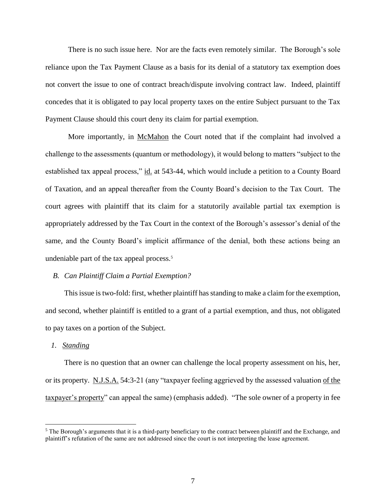There is no such issue here. Nor are the facts even remotely similar. The Borough's sole reliance upon the Tax Payment Clause as a basis for its denial of a statutory tax exemption does not convert the issue to one of contract breach/dispute involving contract law. Indeed, plaintiff concedes that it is obligated to pay local property taxes on the entire Subject pursuant to the Tax Payment Clause should this court deny its claim for partial exemption.

More importantly, in McMahon the Court noted that if the complaint had involved a challenge to the assessments (quantum or methodology), it would belong to matters "subject to the established tax appeal process," id. at 543-44, which would include a petition to a County Board of Taxation, and an appeal thereafter from the County Board's decision to the Tax Court. The court agrees with plaintiff that its claim for a statutorily available partial tax exemption is appropriately addressed by the Tax Court in the context of the Borough's assessor's denial of the same, and the County Board's implicit affirmance of the denial, both these actions being an undeniable part of the tax appeal process.<sup>5</sup>

### *B. Can Plaintiff Claim a Partial Exemption?*

This issue is two-fold: first, whether plaintiff has standing to make a claim for the exemption, and second, whether plaintiff is entitled to a grant of a partial exemption, and thus, not obligated to pay taxes on a portion of the Subject.

#### *1. Standing*

 $\overline{a}$ 

There is no question that an owner can challenge the local property assessment on his, her, or its property. N.J.S.A. 54:3-21 (any "taxpayer feeling aggrieved by the assessed valuation of the taxpayer's property" can appeal the same) (emphasis added). "The sole owner of a property in fee

 $<sup>5</sup>$  The Borough's arguments that it is a third-party beneficiary to the contract between plaintiff and the Exchange, and</sup> plaintiff's refutation of the same are not addressed since the court is not interpreting the lease agreement.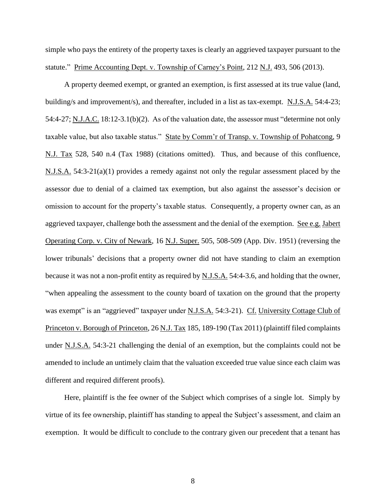simple who pays the entirety of the property taxes is clearly an aggrieved taxpayer pursuant to the statute." Prime Accounting Dept. v. Township of Carney's Point, 212 N.J. 493, 506 (2013).

A property deemed exempt, or granted an exemption, is first assessed at its true value (land, building/s and improvement/s), and thereafter, included in a list as tax-exempt. N.J.S.A. 54:4-23; 54:4-27; N.J.A.C. 18:12-3.1(b)(2). As of the valuation date, the assessor must "determine not only taxable value, but also taxable status." State by Comm'r of Transp. v. Township of Pohatcong, 9 N.J. Tax 528, 540 n.4 (Tax 1988) (citations omitted). Thus, and because of this confluence, N.J.S.A. 54:3-21(a)(1) provides a remedy against not only the regular assessment placed by the assessor due to denial of a claimed tax exemption, but also against the assessor's decision or omission to account for the property's taxable status. Consequently, a property owner can, as an aggrieved taxpayer, challenge both the assessment and the denial of the exemption. See e.g. Jabert Operating Corp. v. City of Newark, 16 N.J. Super. 505, 508-509 (App. Div. 1951) (reversing the lower tribunals' decisions that a property owner did not have standing to claim an exemption because it was not a non-profit entity as required by N.J.S.A. 54:4-3.6, and holding that the owner, "when appealing the assessment to the county board of taxation on the ground that the property was exempt" is an "aggrieved" taxpayer under N.J.S.A. 54:3-21). Cf. University Cottage Club of Princeton v. Borough of Princeton, 26 N.J. Tax 185, 189-190 (Tax 2011) (plaintiff filed complaints under N.J.S.A. 54:3-21 challenging the denial of an exemption, but the complaints could not be amended to include an untimely claim that the valuation exceeded true value since each claim was different and required different proofs).

Here, plaintiff is the fee owner of the Subject which comprises of a single lot. Simply by virtue of its fee ownership, plaintiff has standing to appeal the Subject's assessment, and claim an exemption. It would be difficult to conclude to the contrary given our precedent that a tenant has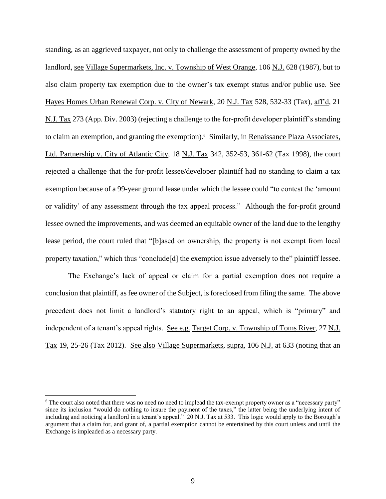standing, as an aggrieved taxpayer, not only to challenge the assessment of property owned by the landlord, see Village Supermarkets, Inc. v. Township of West Orange, 106 N.J. 628 (1987), but to also claim property tax exemption due to the owner's tax exempt status and/or public use. See Hayes Homes Urban Renewal Corp. v. City of Newark, 20 N.J. Tax 528, 532-33 (Tax), aff'd, 21 N.J. Tax 273 (App. Div. 2003) (rejecting a challenge to the for-profit developer plaintiff's standing to claim an exemption, and granting the exemption).<sup>6</sup> Similarly, in Renaissance Plaza Associates, Ltd. Partnership v. City of Atlantic City, 18 N.J. Tax 342, 352-53, 361-62 (Tax 1998), the court rejected a challenge that the for-profit lessee/developer plaintiff had no standing to claim a tax exemption because of a 99-year ground lease under which the lessee could "to contest the 'amount or validity' of any assessment through the tax appeal process." Although the for-profit ground lessee owned the improvements, and was deemed an equitable owner of the land due to the lengthy lease period, the court ruled that "[b]ased on ownership, the property is not exempt from local property taxation," which thus "conclude[d] the exemption issue adversely to the" plaintiff lessee.

The Exchange's lack of appeal or claim for a partial exemption does not require a conclusion that plaintiff, as fee owner of the Subject, is foreclosed from filing the same. The above precedent does not limit a landlord's statutory right to an appeal, which is "primary" and independent of a tenant's appeal rights. See e.g. Target Corp. v. Township of Toms River, 27 N.J. Tax 19, 25-26 (Tax 2012). See also Village Supermarkets, supra, 106 N.J. at 633 (noting that an

<sup>6</sup> The court also noted that there was no need no need to implead the tax-exempt property owner as a "necessary party" since its inclusion "would do nothing to insure the payment of the taxes," the latter being the underlying intent of including and noticing a landlord in a tenant's appeal." 20 N.J. Tax at 533. This logic would apply to the Borough's argument that a claim for, and grant of, a partial exemption cannot be entertained by this court unless and until the Exchange is impleaded as a necessary party.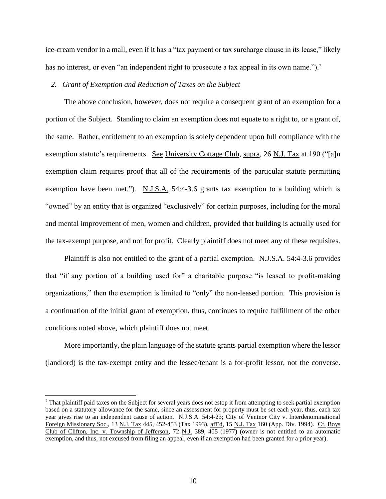ice-cream vendor in a mall, even if it has a "tax payment or tax surcharge clause in its lease," likely has no interest, or even "an independent right to prosecute a tax appeal in its own name.").<sup>7</sup>

### *2. Grant of Exemption and Reduction of Taxes on the Subject*

The above conclusion, however, does not require a consequent grant of an exemption for a portion of the Subject. Standing to claim an exemption does not equate to a right to, or a grant of, the same. Rather, entitlement to an exemption is solely dependent upon full compliance with the exemption statute's requirements. See University Cottage Club, supra, 26 N.J. Tax at 190 ("[a]n exemption claim requires proof that all of the requirements of the particular statute permitting exemption have been met."). N.J.S.A. 54:4-3.6 grants tax exemption to a building which is "owned" by an entity that is organized "exclusively" for certain purposes, including for the moral and mental improvement of men, women and children, provided that building is actually used for the tax-exempt purpose, and not for profit. Clearly plaintiff does not meet any of these requisites.

Plaintiff is also not entitled to the grant of a partial exemption. N.J.S.A. 54:4-3.6 provides that "if any portion of a building used for" a charitable purpose "is leased to profit-making organizations," then the exemption is limited to "only" the non-leased portion. This provision is a continuation of the initial grant of exemption, thus, continues to require fulfillment of the other conditions noted above, which plaintiff does not meet.

More importantly, the plain language of the statute grants partial exemption where the lessor (landlord) is the tax-exempt entity and the lessee/tenant is a for-profit lessor, not the converse.

 $<sup>7</sup>$  That plaintiff paid taxes on the Subject for several years does not estop it from attempting to seek partial exemption</sup> based on a statutory allowance for the same, since an assessment for property must be set each year, thus, each tax year gives rise to an independent cause of action. N.J.S.A. 54:4-23; City of Ventnor City v. Interdenominational Foreign Missionary Soc., 13 N.J. Tax 445, 452-453 (Tax 1993), aff'd, 15 N.J. Tax 160 (App. Div. 1994). Cf. Boys Club of Clifton, Inc. v. Township of Jefferson, 72 N.J. 389, 405 (1977) (owner is not entitled to an automatic exemption, and thus, not excused from filing an appeal, even if an exemption had been granted for a prior year).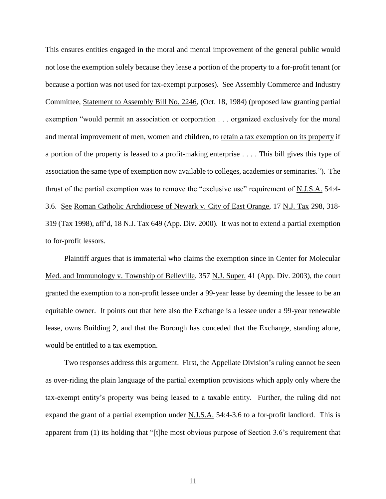This ensures entities engaged in the moral and mental improvement of the general public would not lose the exemption solely because they lease a portion of the property to a for-profit tenant (or because a portion was not used for tax-exempt purposes). See Assembly Commerce and Industry Committee, Statement to Assembly Bill No. 2246, (Oct. 18, 1984) (proposed law granting partial exemption "would permit an association or corporation . . . organized exclusively for the moral and mental improvement of men, women and children, to retain a tax exemption on its property if a portion of the property is leased to a profit-making enterprise . . . . This bill gives this type of association the same type of exemption now available to colleges, academies or seminaries."). The thrust of the partial exemption was to remove the "exclusive use" requirement of N.J.S.A. 54:4- 3.6. See Roman Catholic Archdiocese of Newark v. City of East Orange, 17 N.J. Tax 298, 318- 319 (Tax 1998), aff'd, 18 N.J. Tax 649 (App. Div. 2000). It was not to extend a partial exemption to for-profit lessors.

Plaintiff argues that is immaterial who claims the exemption since in Center for Molecular Med. and Immunology v. Township of Belleville, 357 N.J. Super. 41 (App. Div. 2003), the court granted the exemption to a non-profit lessee under a 99-year lease by deeming the lessee to be an equitable owner. It points out that here also the Exchange is a lessee under a 99-year renewable lease, owns Building 2, and that the Borough has conceded that the Exchange, standing alone, would be entitled to a tax exemption.

Two responses address this argument. First, the Appellate Division's ruling cannot be seen as over-riding the plain language of the partial exemption provisions which apply only where the tax-exempt entity's property was being leased to a taxable entity. Further, the ruling did not expand the grant of a partial exemption under N.J.S.A. 54:4-3.6 to a for-profit landlord. This is apparent from (1) its holding that "[t]he most obvious purpose of Section 3.6's requirement that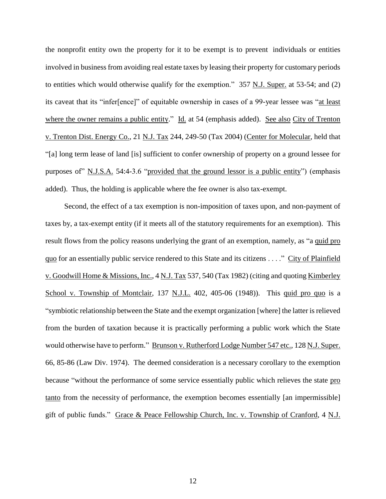the nonprofit entity own the property for it to be exempt is to prevent individuals or entities involved in business from avoiding real estate taxes by leasing their property for customary periods to entities which would otherwise qualify for the exemption." 357 N.J. Super. at 53-54; and (2) its caveat that its "infer[ence]" of equitable ownership in cases of a 99-year lessee was "at least where the owner remains a public entity." Id. at 54 (emphasis added). See also City of Trenton v. Trenton Dist. Energy Co., 21 N.J. Tax 244, 249-50 (Tax 2004) (Center for Molecular, held that "[a] long term lease of land [is] sufficient to confer ownership of property on a ground lessee for purposes of" N.J.S.A. 54:4-3.6 "provided that the ground lessor is a public entity") (emphasis added). Thus, the holding is applicable where the fee owner is also tax-exempt.

Second, the effect of a tax exemption is non-imposition of taxes upon, and non-payment of taxes by, a tax-exempt entity (if it meets all of the statutory requirements for an exemption). This result flows from the policy reasons underlying the grant of an exemption, namely, as "a quid pro quo for an essentially public service rendered to this State and its citizens . . . ." City of Plainfield v. Goodwill Home & Missions, Inc., 4 N.J. Tax 537, 540 (Tax 1982) (citing and quoting Kimberley School v. Township of Montclair, 137 N.J.L. 402, 405-06 (1948)). This quid pro quo is a "symbiotic relationship between the State and the exempt organization [where] the latter is relieved from the burden of taxation because it is practically performing a public work which the State would otherwise have to perform." Brunson v. Rutherford Lodge Number 547 etc., 128 N.J. Super. 66, 85-86 (Law Div. 1974). The deemed consideration is a necessary corollary to the exemption because "without the performance of some service essentially public which relieves the state pro tanto from the necessity of performance, the exemption becomes essentially [an impermissible] gift of public funds." Grace & Peace Fellowship Church, Inc. v. Township of Cranford, 4 N.J.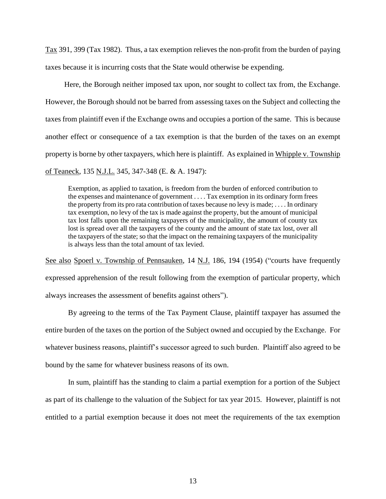Tax 391, 399 (Tax 1982). Thus, a tax exemption relieves the non-profit from the burden of paying taxes because it is incurring costs that the State would otherwise be expending.

Here, the Borough neither imposed tax upon, nor sought to collect tax from, the Exchange. However, the Borough should not be barred from assessing taxes on the Subject and collecting the taxes from plaintiff even if the Exchange owns and occupies a portion of the same. This is because another effect or consequence of a tax exemption is that the burden of the taxes on an exempt property is borne by other taxpayers, which here is plaintiff. As explained in Whipple v. Township of Teaneck, 135 N.J.L. 345, 347-348 (E. & A. 1947):

Exemption, as applied to taxation, is freedom from the burden of enforced contribution to the expenses and maintenance of government . . . . Tax exemption in its ordinary form frees the property from its pro rata contribution of taxes because no levy is made; . . . . In ordinary tax exemption, no levy of the tax is made against the property, but the amount of municipal tax lost falls upon the remaining taxpayers of the municipality, the amount of county tax lost is spread over all the taxpayers of the county and the amount of state tax lost, over all the taxpayers of the state; so that the impact on the remaining taxpayers of the municipality is always less than the total amount of tax levied.

See also Spoerl v. Township of Pennsauken, 14 N.J. 186, 194 (1954) ("courts have frequently expressed apprehension of the result following from the exemption of particular property, which always increases the assessment of benefits against others").

By agreeing to the terms of the Tax Payment Clause, plaintiff taxpayer has assumed the entire burden of the taxes on the portion of the Subject owned and occupied by the Exchange. For whatever business reasons, plaintiff's successor agreed to such burden. Plaintiff also agreed to be bound by the same for whatever business reasons of its own.

In sum, plaintiff has the standing to claim a partial exemption for a portion of the Subject as part of its challenge to the valuation of the Subject for tax year 2015. However, plaintiff is not entitled to a partial exemption because it does not meet the requirements of the tax exemption